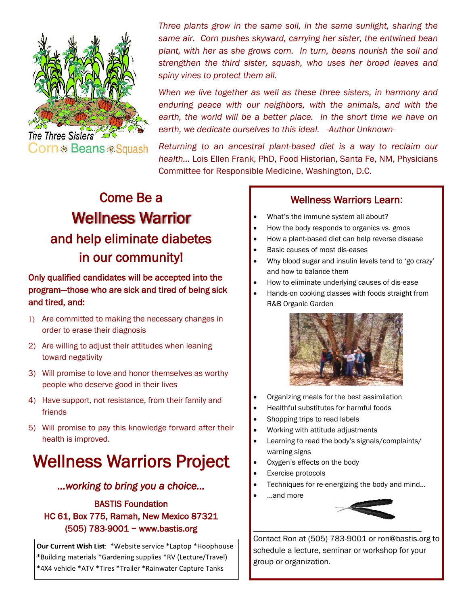

*Three plants grow in the same soil, in the same sunlight, sharing the same air. Corn pushes skyward, carrying her sister, the entwined bean plant, with her as she grows corn. In turn, beans nourish the soil and strengthen the third sister, squash, who uses her broad leaves and spiny vines to protect them all.* 

*When we live together as well as these three sisters, in harmony and enduring peace with our neighbors, with the animals, and with the*  earth, the world will be a better place. In the short time we have on *earth, we dedicate ourselves to this ideal.* -*Author Unknown-*

*Returning to an ancestral plant-based diet is a way to reclaim our health…* Lois Ellen Frank, PhD, Food Historian, Santa Fe, NM, Physicians Committee for Responsible Medicine, Washington, D.C.

# Come Be a Wellness Warrior and help eliminate diabetes in our community!

### Only qualified candidates will be accepted into the program—those who are sick and tired of being sick and tired, and:

- Are committed to making the necessary changes in order to erase their diagnosis
- 2) Are willing to adjust their attitudes when leaning toward negativity
- 3) Will promise to love and honor themselves as worthy people who deserve good in their lives
- 4) Have support, not resistance, from their family and friends
- 5) Will promise to pay this knowledge forward after their health is improved.

# Wellness Warriors Project

#### *...working to bring you a choice…*

### BASTIS Foundation HC 61, Box 775, Ramah, New Mexico 87321 (505) 783-9001 ~ www.bastis.org

**Our Current Wish List**: \*Website service \*Laptop \*Hoophouse \*Building materials \*Gardening supplies \*RV (Lecture/Travel) \*4X4 vehicle \*ATV \*Tires \*Trailer \*Rainwater Capture Tanks

#### Wellness Warriors Learn:

- What's the immune system all about?
- How the body responds to organics vs. gmos
- How a plant-based diet can help reverse disease
- Basic causes of most dis-eases
- Why blood sugar and insulin levels tend to 'go crazy' and how to balance them
- How to eliminate underlying causes of dis-ease
- Hands-on cooking classes with foods straight from R&B Organic Garden



- Organizing meals for the best assimilation
- Healthful substitutes for harmful foods
- Shopping trips to read labels
- Working with attitude adjustments
- Learning to read the body's signals/complaints/ warning signs
- Oxygen's effects on the body
- Exercise protocols
- Techniques for re-energizing the body and mind…

\_\_\_\_\_\_\_\_\_\_\_\_\_\_\_\_\_\_\_\_\_\_\_\_\_\_\_\_\_\_\_\_\_\_\_\_\_\_\_\_\_\_\_\_

...and more



Contact Ron at (505) 783-9001 or ron@bastis.org to schedule a lecture, seminar or workshop for your group or organization.